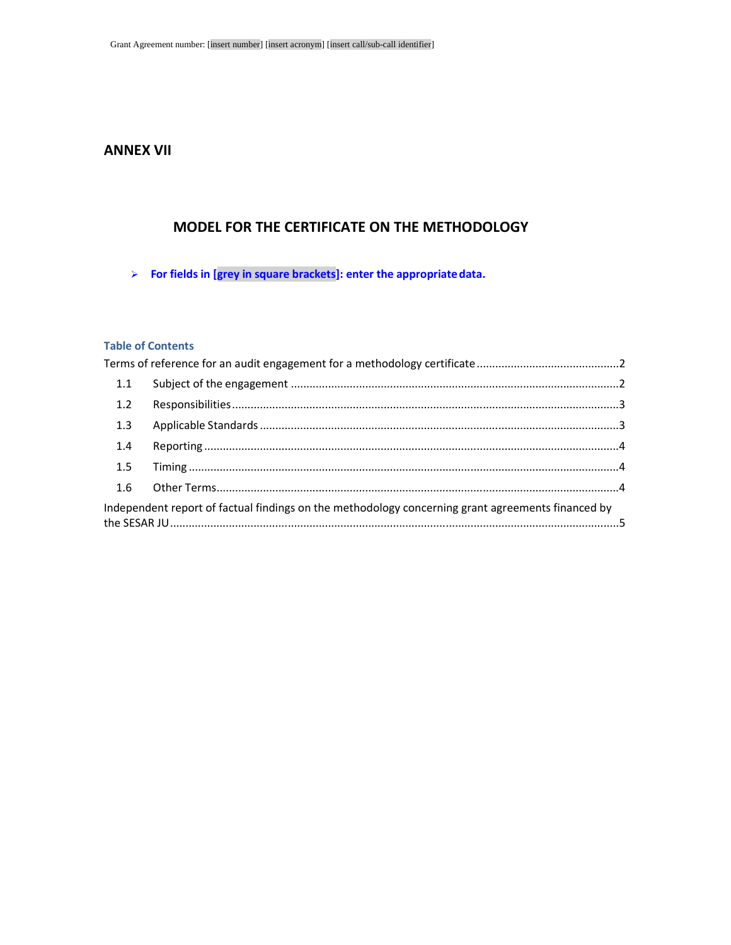# **ANNEX VII**

# **MODEL FOR THE CERTIFICATE ON THE METHODOLOGY**

**For fields in [grey in square brackets]: enter the appropriate data.**

# **Table of Contents**

| 1.1 |                                                                                                   |  |
|-----|---------------------------------------------------------------------------------------------------|--|
| 1.2 |                                                                                                   |  |
| 1.3 |                                                                                                   |  |
| 1.4 |                                                                                                   |  |
| 1.5 |                                                                                                   |  |
|     |                                                                                                   |  |
|     | Independent report of factual findings on the methodology concerning grant agreements financed by |  |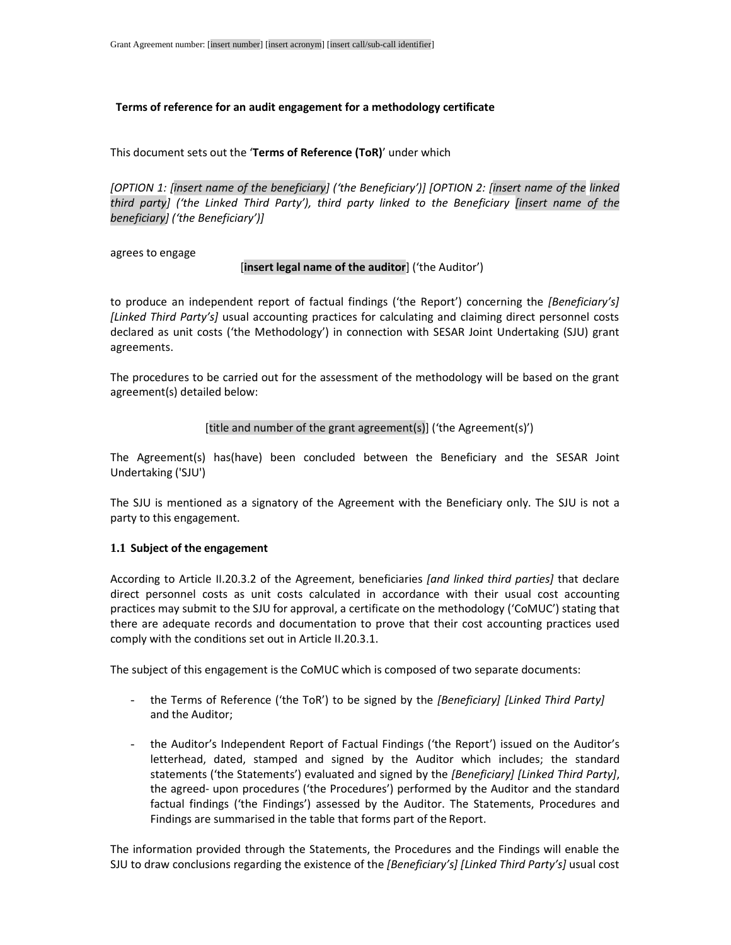## **Terms of reference for an audit engagement for a methodology certificate**

This document sets out the '**Terms of Reference (ToR)**' under which

*[OPTION 1: [insert name of the beneficiary] ('the Beneficiary')] [OPTION 2: [insert name of the linked third party] ('the Linked Third Party'), third party linked to the Beneficiary [insert name of the beneficiary] ('the Beneficiary')]* 

agrees to engage

#### [**insert legal name of the auditor**] ('the Auditor')

to produce an independent report of factual findings ('the Report') concerning the *[Beneficiary's] [Linked Third Party's]* usual accounting practices for calculating and claiming direct personnel costs declared as unit costs ('the Methodology') in connection with SESAR Joint Undertaking (SJU) grant agreements.

The procedures to be carried out for the assessment of the methodology will be based on the grant agreement(s) detailed below:

#### [title and number of the grant agreement(s)] ('the Agreement(s)')

The Agreement(s) has(have) been concluded between the Beneficiary and the SESAR Joint Undertaking ('SJU')

The SJU is mentioned as a signatory of the Agreement with the Beneficiary only. The SJU is not a party to this engagement.

## **1.1 Subject of the engagement**

According to Article II.20.3.2 of the Agreement, beneficiaries *[and linked third parties]* that declare direct personnel costs as unit costs calculated in accordance with their usual cost accounting practices may submit to the SJU for approval, a certificate on the methodology ('CoMUC') stating that there are adequate records and documentation to prove that their cost accounting practices used comply with the conditions set out in Article II.20.3.1.

The subject of this engagement is the CoMUC which is composed of two separate documents:

- the Terms of Reference ('the ToR') to be signed by the *[Beneficiary] [Linked Third Party]*  and the Auditor;
- the Auditor's Independent Report of Factual Findings ('the Report') issued on the Auditor's letterhead, dated, stamped and signed by the Auditor which includes; the standard statements ('the Statements') evaluated and signed by the *[Beneficiary] [Linked Third Party]*, the agreed- upon procedures ('the Procedures') performed by the Auditor and the standard factual findings ('the Findings') assessed by the Auditor. The Statements, Procedures and Findings are summarised in the table that forms part of the Report.

The information provided through the Statements, the Procedures and the Findings will enable the SJU to draw conclusions regarding the existence of the *[Beneficiary's] [Linked Third Party's]* usual cost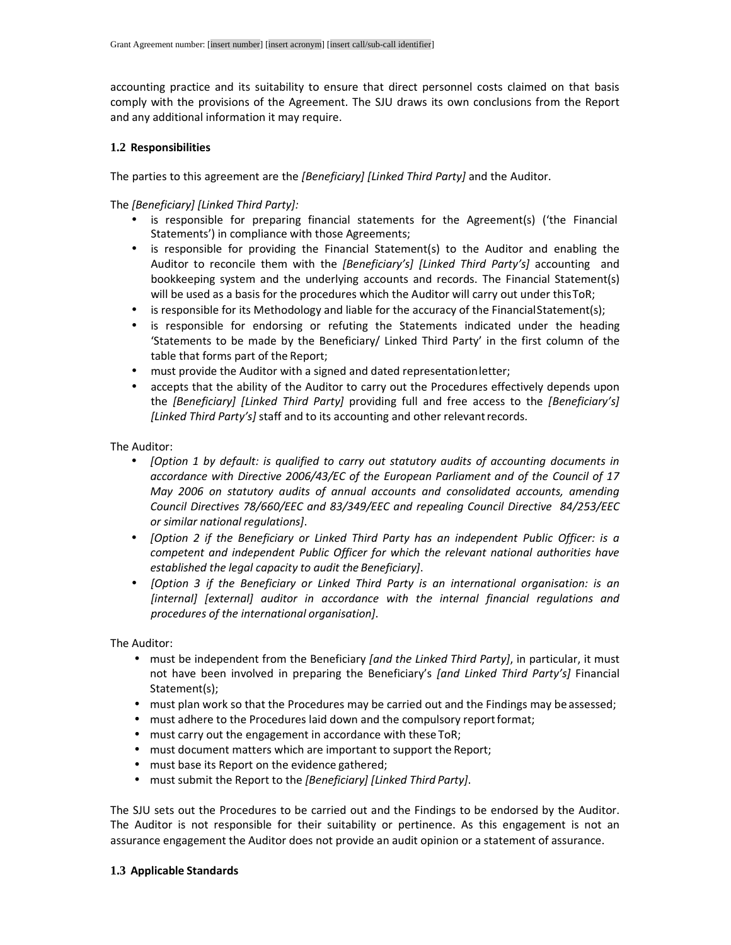accounting practice and its suitability to ensure that direct personnel costs claimed on that basis comply with the provisions of the Agreement. The SJU draws its own conclusions from the Report and any additional information it may require.

## **1.2 Responsibilities**

The parties to this agreement are the *[Beneficiary] [Linked Third Party]* and the Auditor.

The *[Beneficiary] [Linked Third Party]:* 

- is responsible for preparing financial statements for the Agreement(s) ('the Financial Statements') in compliance with those Agreements;
- is responsible for providing the Financial Statement(s) to the Auditor and enabling the Auditor to reconcile them with the *[Beneficiary's] [Linked Third Party's]* accounting and bookkeeping system and the underlying accounts and records. The Financial Statement(s) will be used as a basis for the procedures which the Auditor will carry out under this ToR;
- is responsible for its Methodology and liable for the accuracy of the Financial Statement(s);
- is responsible for endorsing or refuting the Statements indicated under the heading 'Statements to be made by the Beneficiary/ Linked Third Party' in the first column of the table that forms part of the Report;
- must provide the Auditor with a signed and dated representation letter;
- accepts that the ability of the Auditor to carry out the Procedures effectively depends upon the *[Beneficiary] [Linked Third Party]* providing full and free access to the *[Beneficiary's] [Linked Third Party's]* staff and to its accounting and other relevant records.

The Auditor:

- *[Option 1 by default: is qualified to carry out statutory audits of accounting documents in accordance with Directive 2006/43/EC of the European Parliament and of the Council of 17 May 2006 on statutory audits of annual accounts and consolidated accounts, amending Council Directives 78/660/EEC and 83/349/EEC and repealing Council Directive 84/253/EEC or similar national regulations]*.
- *[Option 2 if the Beneficiary or Linked Third Party has an independent Public Officer: is a competent and independent Public Officer for which the relevant national authorities have established the legal capacity to audit the Beneficiary]*.
- *[Option 3 if the Beneficiary or Linked Third Party is an international organisation: is an [internal] [external] auditor in accordance with the internal financial regulations and procedures of the international organisation]*.

The Auditor:

- must be independent from the Beneficiary *[and the Linked Third Party]*, in particular, it must not have been involved in preparing the Beneficiary's *[and Linked Third Party's]* Financial Statement(s);
- must plan work so that the Procedures may be carried out and the Findings may be assessed;
- must adhere to the Procedures laid down and the compulsory report format;
- must carry out the engagement in accordance with these ToR;
- must document matters which are important to support the Report;
- must base its Report on the evidence gathered;
- must submit the Report to the *[Beneficiary] [Linked Third Party]*.

The SJU sets out the Procedures to be carried out and the Findings to be endorsed by the Auditor. The Auditor is not responsible for their suitability or pertinence. As this engagement is not an assurance engagement the Auditor does not provide an audit opinion or a statement of assurance.

## **1.3 Applicable Standards**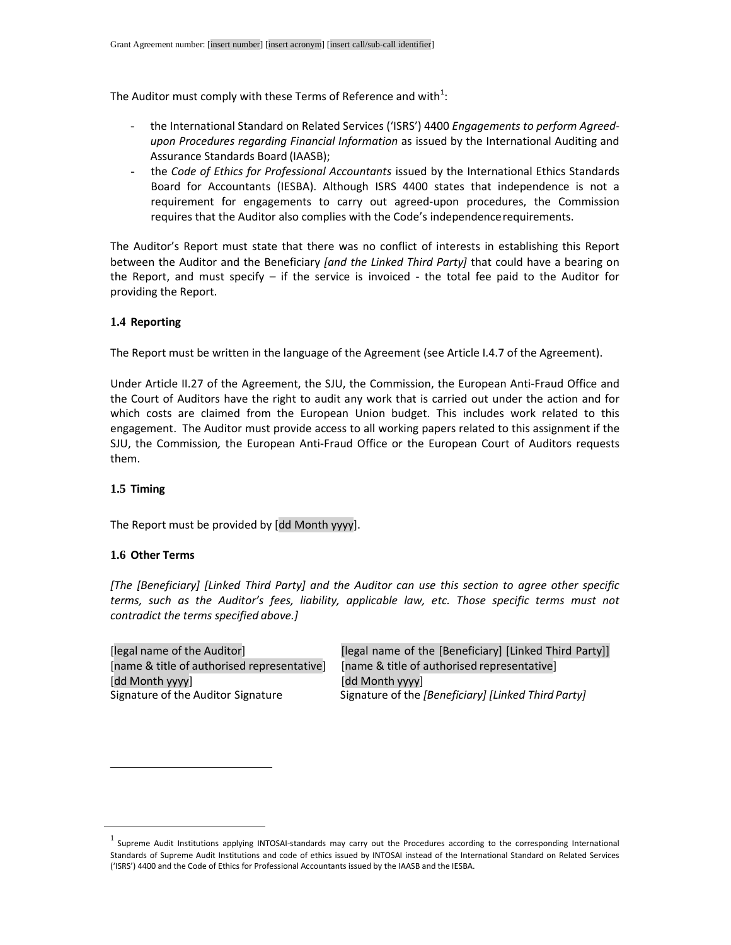The Auditor must comply with these Terms of Reference and with<sup>1</sup>:

- the International Standard on Related Services ('ISRS') 4400 *Engagements to perform Agreedupon Procedures regarding Financial Information* as issued by the International Auditing and Assurance Standards Board (IAASB);
- the *Code of Ethics for Professional Accountants* issued by the International Ethics Standards Board for Accountants (IESBA). Although ISRS 4400 states that independence is not a requirement for engagements to carry out agreed-upon procedures, the Commission requires that the Auditor also complies with the Code's independence requirements.

The Auditor's Report must state that there was no conflict of interests in establishing this Report between the Auditor and the Beneficiary *[and the Linked Third Party]* that could have a bearing on the Report, and must specify  $-$  if the service is invoiced - the total fee paid to the Auditor for providing the Report.

#### **1.4 Reporting**

The Report must be written in the language of the Agreement (see Article I.4.7 of the Agreement).

Under Article II.27 of the Agreement, the SJU, the Commission, the European Anti-Fraud Office and the Court of Auditors have the right to audit any work that is carried out under the action and for which costs are claimed from the European Union budget. This includes work related to this engagement. The Auditor must provide access to all working papers related to this assignment if the SJU, the Commission*,* the European Anti-Fraud Office or the European Court of Auditors requests them.

## **1.5 Timing**

-

The Report must be provided by [dd Month yyyy].

#### **1.6 Other Terms**

*[The [Beneficiary] [Linked Third Party] and the Auditor can use this section to agree other specific terms, such as the Auditor's fees, liability, applicable law, etc. Those specific terms must not contradict the terms specified above.]* 

[name & title of authorised representative] [name & title of authorised representative] [dd Month yyyy] [dd Month yyyy]

[legal name of the Auditor] [legal name of the [Beneficiary] [Linked Third Party]] Signature of the Auditor Signature Signature of the *[Beneficiary] [Linked Third Party]* 

 $^1$  Supreme Audit Institutions applying INTOSAI-standards may carry out the Procedures according to the corresponding International Standards of Supreme Audit Institutions and code of ethics issued by INTOSAI instead of the International Standard on Related Services ('ISRS') 4400 and the Code of Ethics for Professional Accountants issued by the IAASB and the IESBA.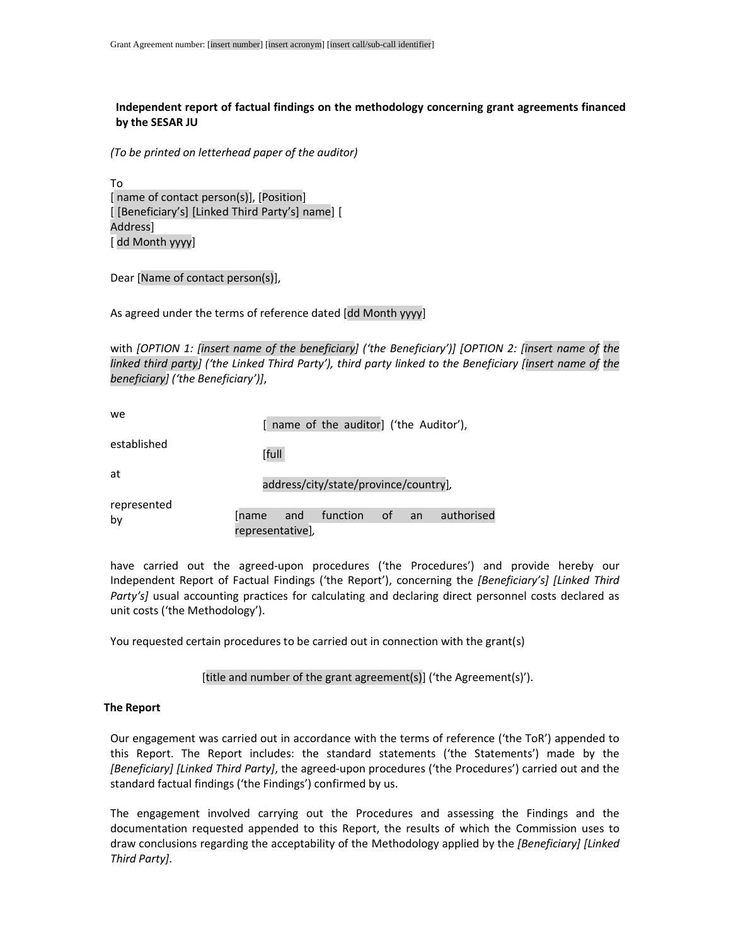# **Independent report of factual findings on the methodology concerning grant agreements financed by the SESAR JU**

*(To be printed on letterhead paper of the auditor)* 

To [ name of contact person(s)], [Position] [ [Beneficiary's] [Linked Third Party's] name] [ Address] [ dd Month yyyy]

Dear [Name of contact person(s)],

As agreed under the terms of reference dated [dd Month yyyy]

with *[OPTION 1: [insert name of the beneficiary] ('the Beneficiary')] [OPTION 2: [insert name of the linked third party] ('the Linked Third Party'), third party linked to the Beneficiary [insert name of the beneficiary] ('the Beneficiary')]*,

| we                |                                       |       |                         | [ name of the auditor] ('the Auditor'), |    |            |
|-------------------|---------------------------------------|-------|-------------------------|-----------------------------------------|----|------------|
| established       |                                       | [full |                         |                                         |    |            |
| at                | address/city/state/province/country], |       |                         |                                         |    |            |
| represented<br>by | <b>Iname</b>                          |       | and<br>representative], | function of                             | an | authorised |

have carried out the agreed-upon procedures ('the Procedures') and provide hereby our Independent Report of Factual Findings ('the Report'), concerning the *[Beneficiary's] [Linked Third*  Party's] usual accounting practices for calculating and declaring direct personnel costs declared as unit costs ('the Methodology').

You requested certain procedures to be carried out in connection with the grant(s)

[title and number of the grant agreement(s)] ('the Agreement(s)').

#### **The Report**

Our engagement was carried out in accordance with the terms of reference ('the ToR') appended to this Report. The Report includes: the standard statements ('the Statements') made by the *[Beneficiary] [Linked Third Party]*, the agreed-upon procedures ('the Procedures') carried out and the standard factual findings ('the Findings') confirmed by us.

The engagement involved carrying out the Procedures and assessing the Findings and the documentation requested appended to this Report, the results of which the Commission uses to draw conclusions regarding the acceptability of the Methodology applied by the *[Beneficiary] [Linked Third Party]*.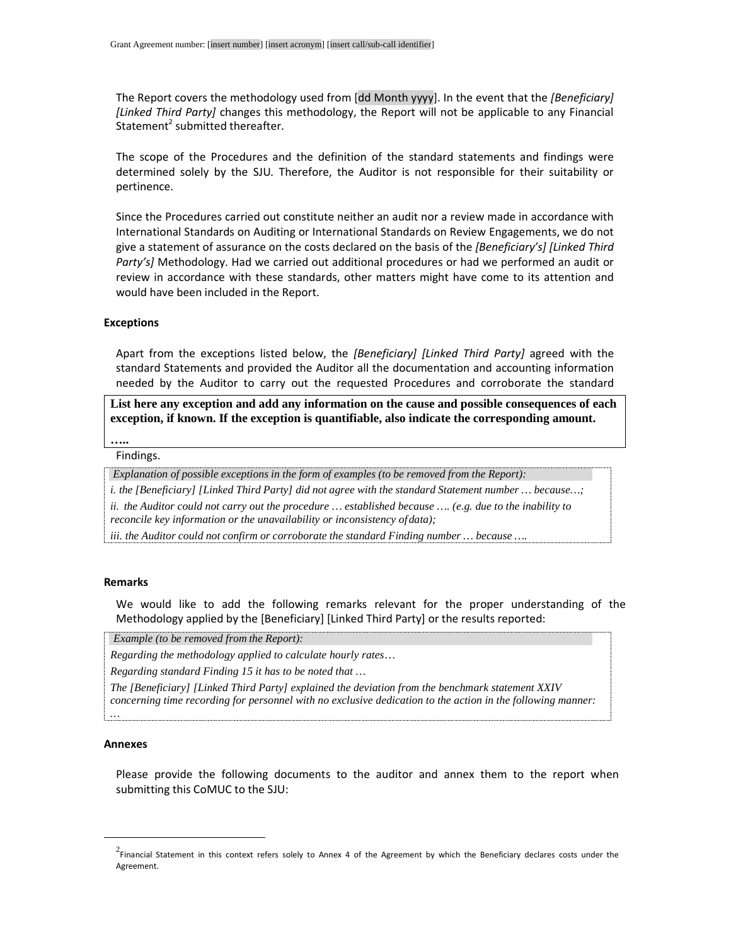The Report covers the methodology used from [dd Month yyyy]. In the event that the *[Beneficiary] [Linked Third Party]* changes this methodology, the Report will not be applicable to any Financial Statement<sup>2</sup> submitted thereafter.

The scope of the Procedures and the definition of the standard statements and findings were determined solely by the SJU*.* Therefore, the Auditor is not responsible for their suitability or pertinence.

Since the Procedures carried out constitute neither an audit nor a review made in accordance with International Standards on Auditing or International Standards on Review Engagements, we do not give a statement of assurance on the costs declared on the basis of the *[Beneficiary's] [Linked Third Party's]* Methodology. Had we carried out additional procedures or had we performed an audit or review in accordance with these standards, other matters might have come to its attention and would have been included in the Report.

#### **Exceptions**

Apart from the exceptions listed below, the *[Beneficiary] [Linked Third Party]* agreed with the standard Statements and provided the Auditor all the documentation and accounting information needed by the Auditor to carry out the requested Procedures and corroborate the standard

**List here any exception and add any information on the cause and possible consequences of each exception, if known. If the exception is quantifiable, also indicate the corresponding amount.** 

#### Findings. **…..**

 *Explanation of possible exceptions in the form of examples (to be removed from the Report):* 

*i. the [Beneficiary] [Linked Third Party] did not agree with the standard Statement number … because…;* 

*ii. the Auditor could not carry out the procedure … established because …. (e.g. due to the inability to reconcile key information or the unavailability or inconsistency of data);* 

*iii. the Auditor could not confirm or corroborate the standard Finding number … because ….* 

#### **Remarks**

We would like to add the following remarks relevant for the proper understanding of the Methodology applied by the [Beneficiary] [Linked Third Party] or the results reported:

 *Example (to be removed from the Report):* 

*Regarding the methodology applied to calculate hourly rates …* 

*Regarding standard Finding 15 it has to be noted that …* 

*The [Beneficiary] [Linked Third Party] explained the deviation from the benchmark statement XXIV concerning time recording for personnel with no exclusive dedication to the action in the following manner:* 

#### **Annexes**

*…*

-

Please provide the following documents to the auditor and annex them to the report when submitting this CoMUC to the SJU:

 $^2$ Financial Statement in this context refers solely to Annex 4 of the Agreement by which the Beneficiary declares costs under the Agreement.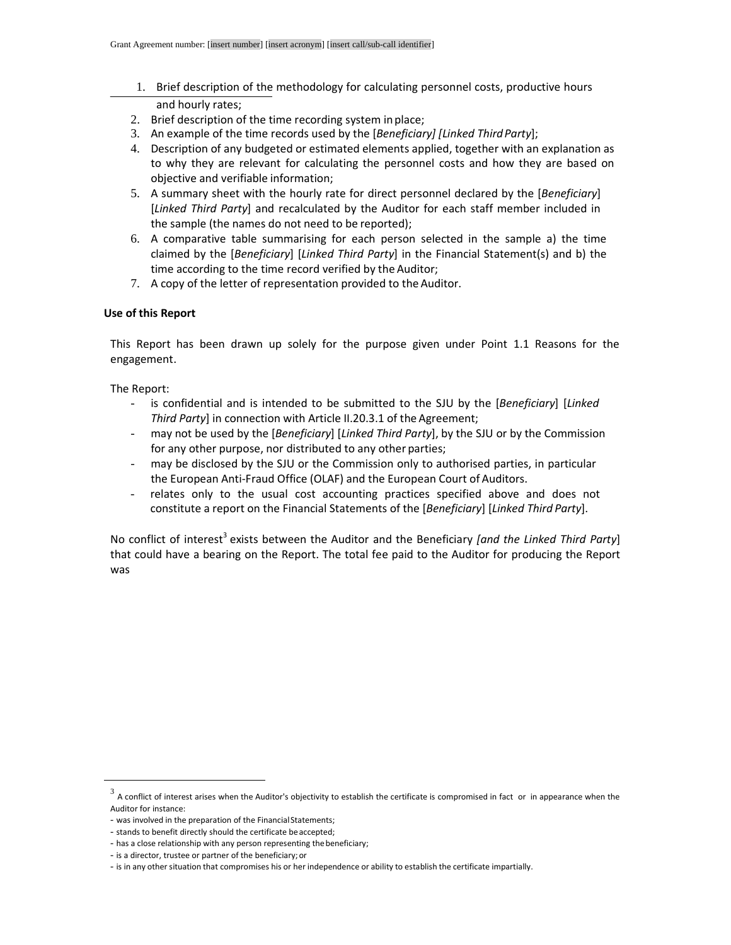- 1. Brief description of the methodology for calculating personnel costs, productive hours and hourly rates;
- 2. Brief description of the time recording system in place;
- 3. An example of the time records used by the [*Beneficiary] [Linked Third Party*];
- 4. Description of any budgeted or estimated elements applied, together with an explanation as to why they are relevant for calculating the personnel costs and how they are based on objective and verifiable information;
- 5. A summary sheet with the hourly rate for direct personnel declared by the [*Beneficiary*] [*Linked Third Party*] and recalculated by the Auditor for each staff member included in the sample (the names do not need to be reported);
- 6. A comparative table summarising for each person selected in the sample a) the time claimed by the [*Beneficiary*] [*Linked Third Party*] in the Financial Statement(s) and b) the time according to the time record verified by the Auditor;
- 7. A copy of the letter of representation provided to the Auditor.

# **Use of this Report**

This Report has been drawn up solely for the purpose given under Point 1.1 Reasons for the engagement.

The Report:

-

- is confidential and is intended to be submitted to the SJU by the [*Beneficiary*] [*Linked Third Party*] in connection with Article II.20.3.1 of the Agreement;
- may not be used by the [*Beneficiary*] [*Linked Third Party*], by the SJU or by the Commission for any other purpose, nor distributed to any other parties;
- may be disclosed by the SJU or the Commission only to authorised parties, in particular the European Anti-Fraud Office (OLAF) and the European Court of Auditors.
- relates only to the usual cost accounting practices specified above and does not constitute a report on the Financial Statements of the [*Beneficiary*] [*Linked Third Party*].

No conflict of interest<sup>3</sup> exists between the Auditor and the Beneficiary *[and the Linked Third Party*] that could have a bearing on the Report. The total fee paid to the Auditor for producing the Report was

 $^3$  A conflict of interest arises when the Auditor's objectivity to establish the certificate is compromised in fact or in appearance when the Auditor for instance:

<sup>-</sup> was involved in the preparation of the Financial Statements;

<sup>-</sup> stands to benefit directly should the certificate be accepted;

<sup>-</sup> has a close relationship with any person representing the beneficiary;

<sup>-</sup> is a director, trustee or partner of the beneficiary; or

<sup>-</sup> is in any other situation that compromises his or her independence or ability to establish the certificate impartially.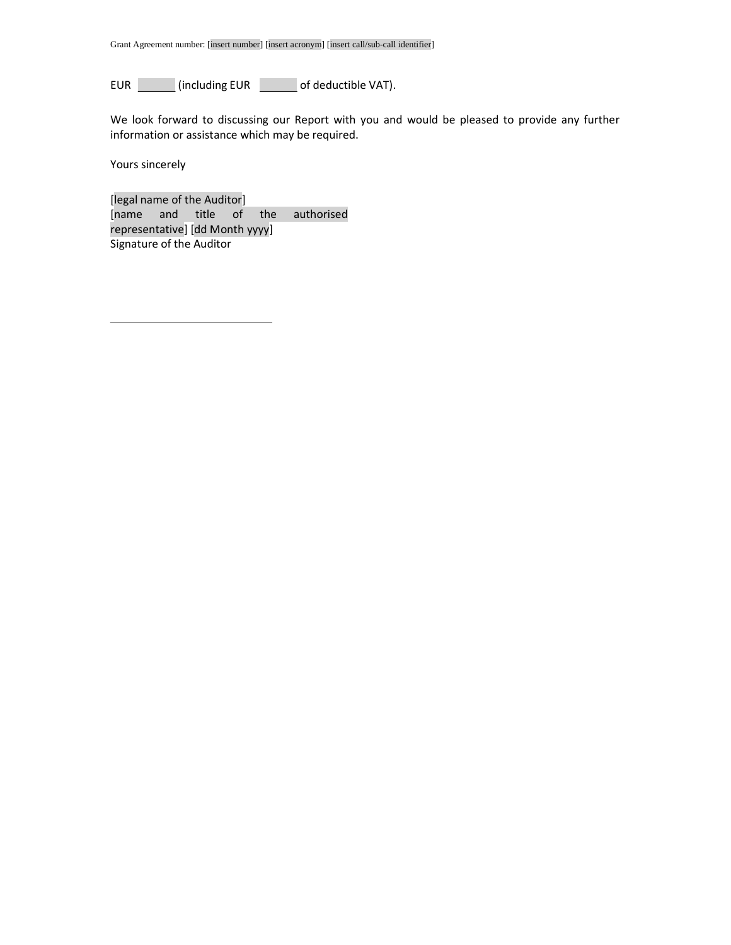EUR (including EUR of deductible VAT).

We look forward to discussing our Report with you and would be pleased to provide any further information or assistance which may be required.

Yours sincerely

[legal name of the Auditor] [name and title of the authorised representative] [dd Month yyyy] Signature of the Auditor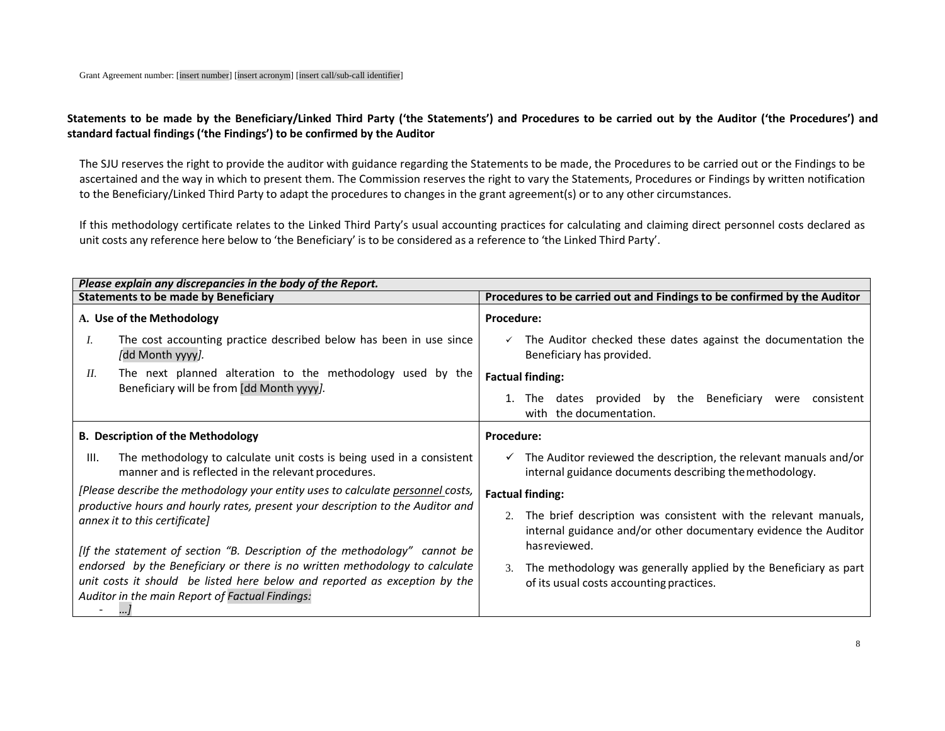# **Statements to be made by the Beneficiary/Linked Third Party ('the Statements') and Procedures to be carried out by the Auditor ('the Procedures') and standard factual findings ('the Findings') to be confirmed by the Auditor**

The SJU reserves the right to provide the auditor with guidance regarding the Statements to be made, the Procedures to be carried out or the Findings to be ascertained and the way in which to present them. The Commission reserves the right to vary the Statements, Procedures or Findings by written notification to the Beneficiary/Linked Third Party to adapt the procedures to changes in the grant agreement(s) or to any other circumstances.

If this methodology certificate relates to the Linked Third Party's usual accounting practices for calculating and claiming direct personnel costs declared as unit costs any reference here below to 'the Beneficiary' is to be considered as a reference to 'the Linked Third Party'.

|                                                                                                                                                                                                    | Please explain any discrepancies in the body of the Report.                                                                  |                                                                                                                                           |  |  |  |
|----------------------------------------------------------------------------------------------------------------------------------------------------------------------------------------------------|------------------------------------------------------------------------------------------------------------------------------|-------------------------------------------------------------------------------------------------------------------------------------------|--|--|--|
| <b>Statements to be made by Beneficiary</b>                                                                                                                                                        |                                                                                                                              | Procedures to be carried out and Findings to be confirmed by the Auditor                                                                  |  |  |  |
|                                                                                                                                                                                                    | A. Use of the Methodology                                                                                                    | <b>Procedure:</b>                                                                                                                         |  |  |  |
| Ι.                                                                                                                                                                                                 | The cost accounting practice described below has been in use since<br>[dd Month yyyy].                                       | The Auditor checked these dates against the documentation the<br>$\checkmark$<br>Beneficiary has provided.                                |  |  |  |
| Н.                                                                                                                                                                                                 | The next planned alteration to the methodology used by the                                                                   | <b>Factual finding:</b>                                                                                                                   |  |  |  |
|                                                                                                                                                                                                    | Beneficiary will be from [dd Month yyyy].                                                                                    | dates provided by the Beneficiary<br>The<br>were<br>consistent<br>with the documentation.                                                 |  |  |  |
|                                                                                                                                                                                                    | <b>B. Description of the Methodology</b>                                                                                     | <b>Procedure:</b>                                                                                                                         |  |  |  |
| HI.                                                                                                                                                                                                | The methodology to calculate unit costs is being used in a consistent<br>manner and is reflected in the relevant procedures. | $\checkmark$ The Auditor reviewed the description, the relevant manuals and/or<br>internal guidance documents describing the methodology. |  |  |  |
| [Please describe the methodology your entity uses to calculate personnel costs,<br>productive hours and hourly rates, present your description to the Auditor and<br>annex it to this certificate] |                                                                                                                              | <b>Factual finding:</b>                                                                                                                   |  |  |  |
|                                                                                                                                                                                                    |                                                                                                                              | The brief description was consistent with the relevant manuals,<br>internal guidance and/or other documentary evidence the Auditor        |  |  |  |
|                                                                                                                                                                                                    | [If the statement of section "B. Description of the methodology" cannot be                                                   | has reviewed.                                                                                                                             |  |  |  |
| endorsed by the Beneficiary or there is no written methodology to calculate                                                                                                                        |                                                                                                                              | The methodology was generally applied by the Beneficiary as part<br>$\mathfrak{Z}$ .                                                      |  |  |  |
| unit costs it should be listed here below and reported as exception by the                                                                                                                         |                                                                                                                              | of its usual costs accounting practices.                                                                                                  |  |  |  |
|                                                                                                                                                                                                    | Auditor in the main Report of Factual Findings:                                                                              |                                                                                                                                           |  |  |  |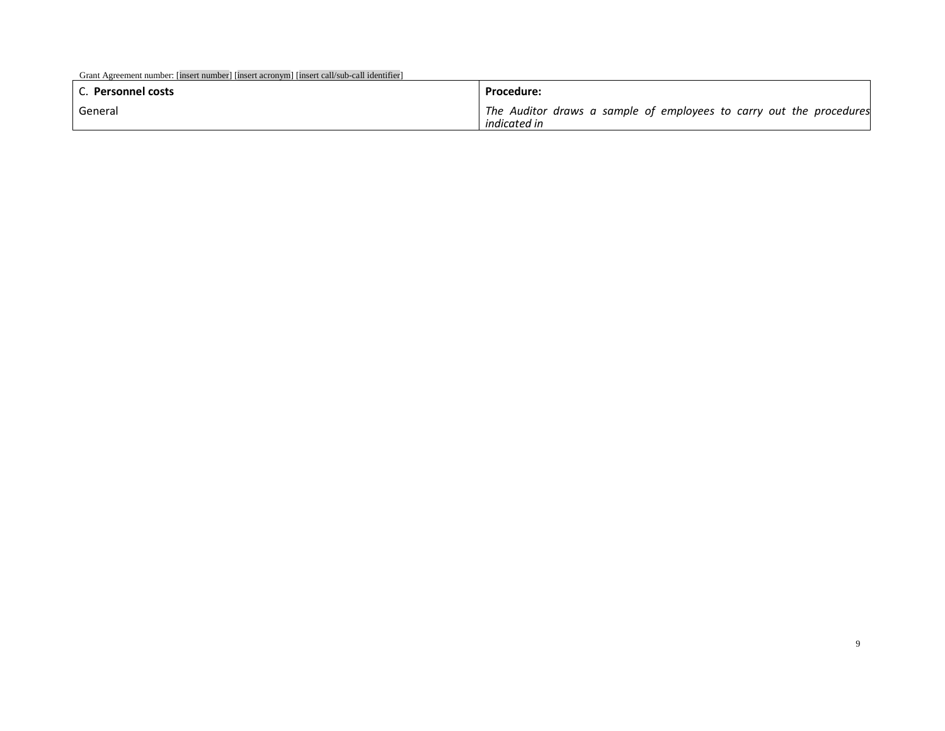| Grant Agreement number: [insert number] [insert acronym] [insert call/sub-call identifier]<br>C. Personnel costs | <b>Procedure:</b>                                                                   |
|------------------------------------------------------------------------------------------------------------------|-------------------------------------------------------------------------------------|
| General                                                                                                          | The Auditor draws a sample of employees to carry out the procedures<br>indicated in |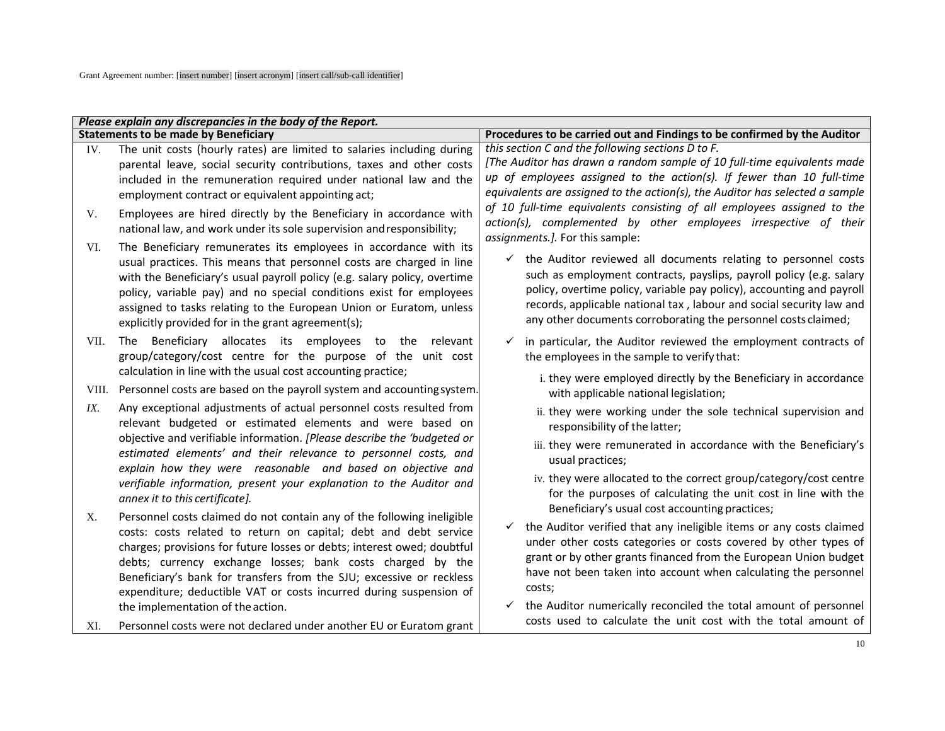| Please explain any discrepancies in the body of the Report. |                                                                                                                                                                                                                                                                                                                                                                                                                                                                        |                                                                                                                                                                                                                                                                                                                                                                                                                               |
|-------------------------------------------------------------|------------------------------------------------------------------------------------------------------------------------------------------------------------------------------------------------------------------------------------------------------------------------------------------------------------------------------------------------------------------------------------------------------------------------------------------------------------------------|-------------------------------------------------------------------------------------------------------------------------------------------------------------------------------------------------------------------------------------------------------------------------------------------------------------------------------------------------------------------------------------------------------------------------------|
|                                                             | <b>Statements to be made by Beneficiary</b>                                                                                                                                                                                                                                                                                                                                                                                                                            | Procedures to be carried out and Findings to be confirmed by the Auditor                                                                                                                                                                                                                                                                                                                                                      |
| IV.                                                         | The unit costs (hourly rates) are limited to salaries including during                                                                                                                                                                                                                                                                                                                                                                                                 | this section C and the following sections D to F.                                                                                                                                                                                                                                                                                                                                                                             |
|                                                             | parental leave, social security contributions, taxes and other costs                                                                                                                                                                                                                                                                                                                                                                                                   | [The Auditor has drawn a random sample of 10 full-time equivalents made                                                                                                                                                                                                                                                                                                                                                       |
|                                                             | included in the remuneration required under national law and the                                                                                                                                                                                                                                                                                                                                                                                                       | up of employees assigned to the action(s). If fewer than 10 full-time                                                                                                                                                                                                                                                                                                                                                         |
|                                                             | employment contract or equivalent appointing act;                                                                                                                                                                                                                                                                                                                                                                                                                      | equivalents are assigned to the action(s), the Auditor has selected a sample                                                                                                                                                                                                                                                                                                                                                  |
| V.                                                          | Employees are hired directly by the Beneficiary in accordance with<br>national law, and work under its sole supervision and responsibility;                                                                                                                                                                                                                                                                                                                            | of 10 full-time equivalents consisting of all employees assigned to the<br>action(s), complemented by other employees irrespective of their<br>assignments.]. For this sample:                                                                                                                                                                                                                                                |
| VI.                                                         | The Beneficiary remunerates its employees in accordance with its<br>usual practices. This means that personnel costs are charged in line<br>with the Beneficiary's usual payroll policy (e.g. salary policy, overtime<br>policy, variable pay) and no special conditions exist for employees<br>assigned to tasks relating to the European Union or Euratom, unless<br>explicitly provided for in the grant agreement(s);                                              | the Auditor reviewed all documents relating to personnel costs<br>$\checkmark$<br>such as employment contracts, payslips, payroll policy (e.g. salary<br>policy, overtime policy, variable pay policy), accounting and payroll<br>records, applicable national tax, labour and social security law and<br>any other documents corroborating the personnel costs claimed;                                                      |
| VII.                                                        | The Beneficiary allocates its employees to the relevant<br>group/category/cost centre for the purpose of the unit cost<br>calculation in line with the usual cost accounting practice;                                                                                                                                                                                                                                                                                 | in particular, the Auditor reviewed the employment contracts of<br>$\checkmark$<br>the employees in the sample to verify that:                                                                                                                                                                                                                                                                                                |
| VIII.                                                       | Personnel costs are based on the payroll system and accounting system.                                                                                                                                                                                                                                                                                                                                                                                                 | i. they were employed directly by the Beneficiary in accordance<br>with applicable national legislation;                                                                                                                                                                                                                                                                                                                      |
| IX.                                                         | Any exceptional adjustments of actual personnel costs resulted from<br>relevant budgeted or estimated elements and were based on                                                                                                                                                                                                                                                                                                                                       | ii. they were working under the sole technical supervision and<br>responsibility of the latter;                                                                                                                                                                                                                                                                                                                               |
|                                                             | objective and verifiable information. [Please describe the 'budgeted or<br>estimated elements' and their relevance to personnel costs, and<br>explain how they were reasonable and based on objective and                                                                                                                                                                                                                                                              | iii. they were remunerated in accordance with the Beneficiary's<br>usual practices;                                                                                                                                                                                                                                                                                                                                           |
|                                                             | verifiable information, present your explanation to the Auditor and<br>annex it to this certificate].                                                                                                                                                                                                                                                                                                                                                                  | iv. they were allocated to the correct group/category/cost centre<br>for the purposes of calculating the unit cost in line with the                                                                                                                                                                                                                                                                                           |
| X.                                                          | Personnel costs claimed do not contain any of the following ineligible<br>costs: costs related to return on capital; debt and debt service<br>charges; provisions for future losses or debts; interest owed; doubtful<br>debts; currency exchange losses; bank costs charged by the<br>Beneficiary's bank for transfers from the SJU; excessive or reckless<br>expenditure; deductible VAT or costs incurred during suspension of<br>the implementation of the action. | Beneficiary's usual cost accounting practices;<br>the Auditor verified that any ineligible items or any costs claimed<br>$\checkmark$<br>under other costs categories or costs covered by other types of<br>grant or by other grants financed from the European Union budget<br>have not been taken into account when calculating the personnel<br>costs;<br>the Auditor numerically reconciled the total amount of personnel |
| XI.                                                         | Personnel costs were not declared under another EU or Euratom grant                                                                                                                                                                                                                                                                                                                                                                                                    | costs used to calculate the unit cost with the total amount of                                                                                                                                                                                                                                                                                                                                                                |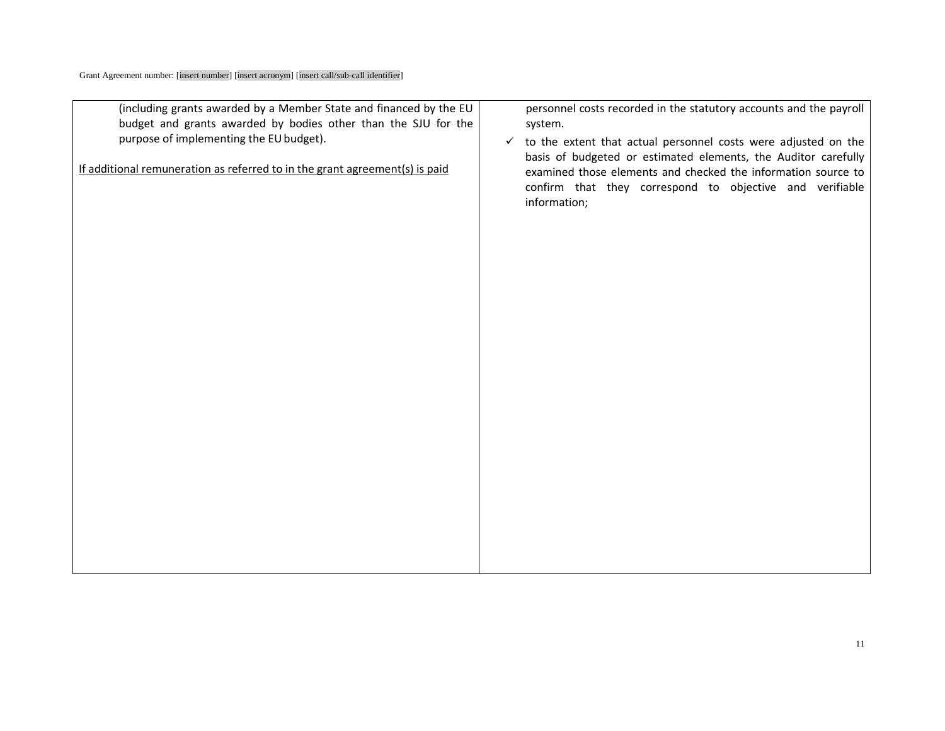| (including grants awarded by a Member State and financed by the EU<br>budget and grants awarded by bodies other than the SJU for the<br>purpose of implementing the EU budget).<br>If additional remuneration as referred to in the grant agreement(s) is paid | personnel costs recorded in the statutory accounts and the payroll<br>system.<br>to the extent that actual personnel costs were adjusted on the<br>$\checkmark$<br>basis of budgeted or estimated elements, the Auditor carefully<br>examined those elements and checked the information source to<br>confirm that they correspond to objective and verifiable |
|----------------------------------------------------------------------------------------------------------------------------------------------------------------------------------------------------------------------------------------------------------------|----------------------------------------------------------------------------------------------------------------------------------------------------------------------------------------------------------------------------------------------------------------------------------------------------------------------------------------------------------------|
|                                                                                                                                                                                                                                                                | information;                                                                                                                                                                                                                                                                                                                                                   |
|                                                                                                                                                                                                                                                                |                                                                                                                                                                                                                                                                                                                                                                |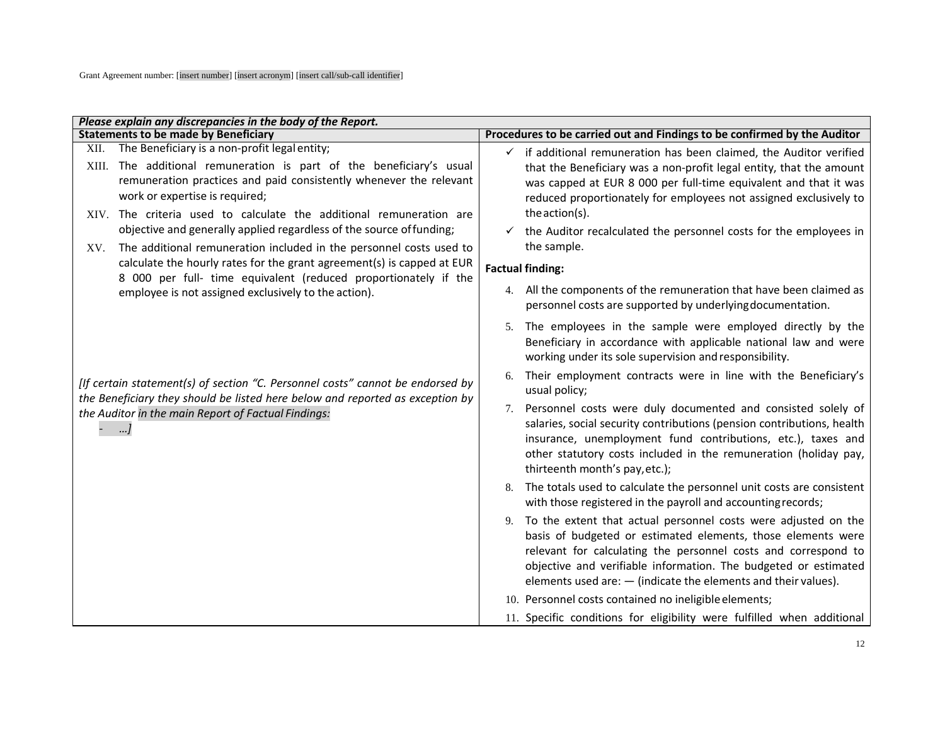| Please explain any discrepancies in the body of the Report.                                                                                                                                                                                                                                         |                                                                                                                                                                                                                                                                                                                                               |
|-----------------------------------------------------------------------------------------------------------------------------------------------------------------------------------------------------------------------------------------------------------------------------------------------------|-----------------------------------------------------------------------------------------------------------------------------------------------------------------------------------------------------------------------------------------------------------------------------------------------------------------------------------------------|
| <b>Statements to be made by Beneficiary</b>                                                                                                                                                                                                                                                         | Procedures to be carried out and Findings to be confirmed by the Auditor                                                                                                                                                                                                                                                                      |
| XII. The Beneficiary is a non-profit legal entity;<br>XIII. The additional remuneration is part of the beneficiary's usual<br>remuneration practices and paid consistently whenever the relevant<br>work or expertise is required;                                                                  | $\checkmark$ if additional remuneration has been claimed, the Auditor verified<br>that the Beneficiary was a non-profit legal entity, that the amount<br>was capped at EUR 8 000 per full-time equivalent and that it was<br>reduced proportionately for employees not assigned exclusively to                                                |
| XIV. The criteria used to calculate the additional remuneration are<br>objective and generally applied regardless of the source of funding;<br>The additional remuneration included in the personnel costs used to<br>XV.<br>calculate the hourly rates for the grant agreement(s) is capped at EUR | the action(s).<br>the Auditor recalculated the personnel costs for the employees in<br>the sample.<br><b>Factual finding:</b>                                                                                                                                                                                                                 |
| 8 000 per full- time equivalent (reduced proportionately if the<br>employee is not assigned exclusively to the action).                                                                                                                                                                             | All the components of the remuneration that have been claimed as<br>4.<br>personnel costs are supported by underlying documentation.                                                                                                                                                                                                          |
|                                                                                                                                                                                                                                                                                                     | The employees in the sample were employed directly by the<br>5.<br>Beneficiary in accordance with applicable national law and were<br>working under its sole supervision and responsibility.                                                                                                                                                  |
| [If certain statement(s) of section "C. Personnel costs" cannot be endorsed by<br>the Beneficiary they should be listed here below and reported as exception by                                                                                                                                     | Their employment contracts were in line with the Beneficiary's<br>6.<br>usual policy;                                                                                                                                                                                                                                                         |
| the Auditor in the main Report of Factual Findings:<br>]                                                                                                                                                                                                                                            | Personnel costs were duly documented and consisted solely of<br>7.<br>salaries, social security contributions (pension contributions, health<br>insurance, unemployment fund contributions, etc.), taxes and<br>other statutory costs included in the remuneration (holiday pay,<br>thirteenth month's pay, etc.);                            |
|                                                                                                                                                                                                                                                                                                     | The totals used to calculate the personnel unit costs are consistent<br>with those registered in the payroll and accounting records;                                                                                                                                                                                                          |
|                                                                                                                                                                                                                                                                                                     | To the extent that actual personnel costs were adjusted on the<br>9.<br>basis of budgeted or estimated elements, those elements were<br>relevant for calculating the personnel costs and correspond to<br>objective and verifiable information. The budgeted or estimated<br>elements used are: $-$ (indicate the elements and their values). |
|                                                                                                                                                                                                                                                                                                     | 10. Personnel costs contained no ineligible elements;                                                                                                                                                                                                                                                                                         |
|                                                                                                                                                                                                                                                                                                     | 11. Specific conditions for eligibility were fulfilled when additional                                                                                                                                                                                                                                                                        |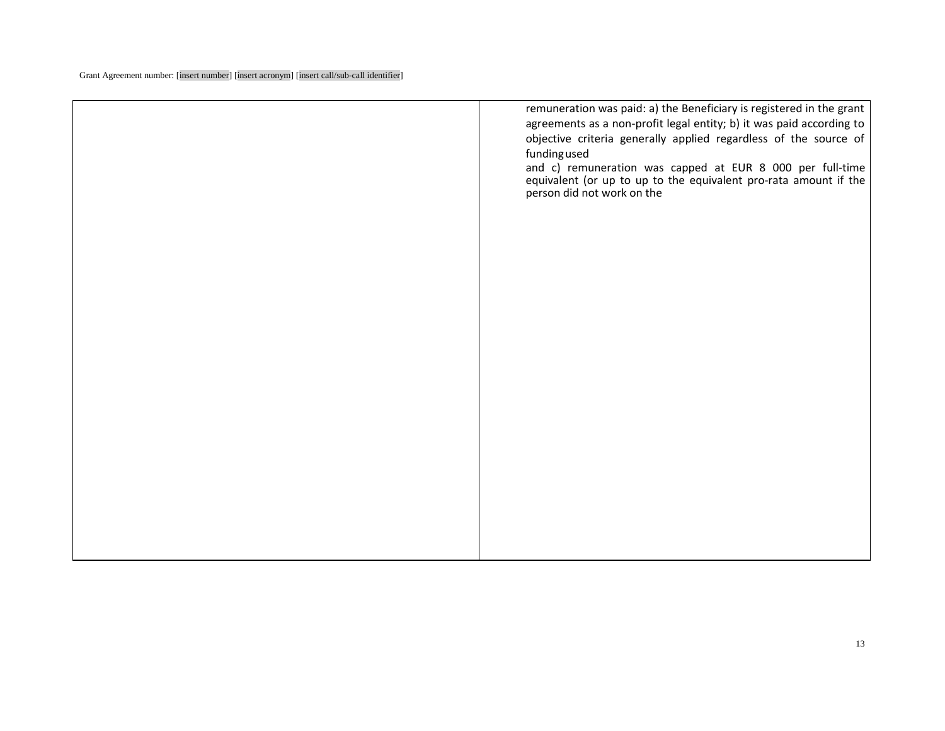|  | remuneration was paid: a) the Beneficiary is registered in the grant<br>agreements as a non-profit legal entity; b) it was paid according to<br>objective criteria generally applied regardless of the source of<br>fundingused<br>and c) remuneration was capped at EUR 8 000 per full-time<br>equivalent (or up to up to the equivalent pro-rata amount if the<br>person did not work on the |
|--|------------------------------------------------------------------------------------------------------------------------------------------------------------------------------------------------------------------------------------------------------------------------------------------------------------------------------------------------------------------------------------------------|
|  |                                                                                                                                                                                                                                                                                                                                                                                                |
|  |                                                                                                                                                                                                                                                                                                                                                                                                |
|  |                                                                                                                                                                                                                                                                                                                                                                                                |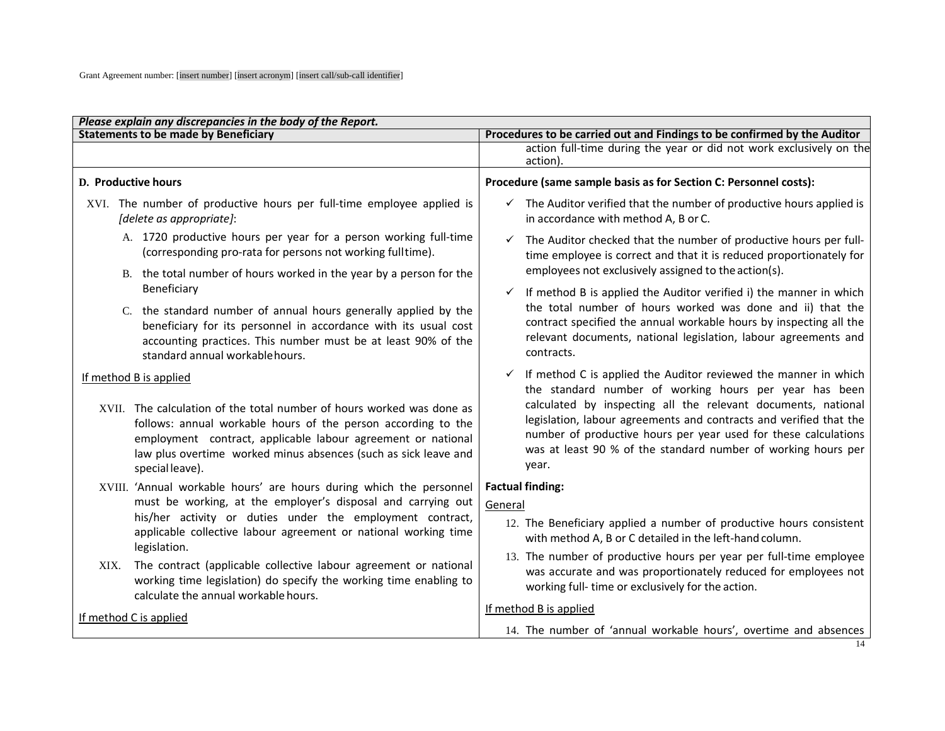| Please explain any discrepancies in the body of the Report.                                                                                                                                                                                                                                  |                                                                                                                                                                                                                                                                                  |  |  |
|----------------------------------------------------------------------------------------------------------------------------------------------------------------------------------------------------------------------------------------------------------------------------------------------|----------------------------------------------------------------------------------------------------------------------------------------------------------------------------------------------------------------------------------------------------------------------------------|--|--|
| <b>Statements to be made by Beneficiary</b>                                                                                                                                                                                                                                                  | Procedures to be carried out and Findings to be confirmed by the Auditor                                                                                                                                                                                                         |  |  |
|                                                                                                                                                                                                                                                                                              | action full-time during the year or did not work exclusively on the<br>action)                                                                                                                                                                                                   |  |  |
| D. Productive hours                                                                                                                                                                                                                                                                          | Procedure (same sample basis as for Section C: Personnel costs):                                                                                                                                                                                                                 |  |  |
| XVI. The number of productive hours per full-time employee applied is<br>[delete as appropriate]:                                                                                                                                                                                            | The Auditor verified that the number of productive hours applied is<br>$\checkmark$<br>in accordance with method A, B or C.                                                                                                                                                      |  |  |
| A. 1720 productive hours per year for a person working full-time<br>(corresponding pro-rata for persons not working fulltime).                                                                                                                                                               | The Auditor checked that the number of productive hours per full-<br>$\checkmark$<br>time employee is correct and that it is reduced proportionately for                                                                                                                         |  |  |
| B. the total number of hours worked in the year by a person for the                                                                                                                                                                                                                          | employees not exclusively assigned to the action(s).                                                                                                                                                                                                                             |  |  |
| Beneficiary                                                                                                                                                                                                                                                                                  | If method B is applied the Auditor verified i) the manner in which<br>$\checkmark$                                                                                                                                                                                               |  |  |
| C. the standard number of annual hours generally applied by the<br>beneficiary for its personnel in accordance with its usual cost<br>accounting practices. This number must be at least 90% of the<br>standard annual workable hours.                                                       | the total number of hours worked was done and ii) that the<br>contract specified the annual workable hours by inspecting all the<br>relevant documents, national legislation, labour agreements and<br>contracts.                                                                |  |  |
| If method B is applied                                                                                                                                                                                                                                                                       | $\checkmark$ If method C is applied the Auditor reviewed the manner in which<br>the standard number of working hours per year has been                                                                                                                                           |  |  |
| XVII. The calculation of the total number of hours worked was done as<br>follows: annual workable hours of the person according to the<br>employment contract, applicable labour agreement or national<br>law plus overtime worked minus absences (such as sick leave and<br>special leave). | calculated by inspecting all the relevant documents, national<br>legislation, labour agreements and contracts and verified that the<br>number of productive hours per year used for these calculations<br>was at least 90 % of the standard number of working hours per<br>year. |  |  |
| XVIII. 'Annual workable hours' are hours during which the personnel                                                                                                                                                                                                                          | <b>Factual finding:</b>                                                                                                                                                                                                                                                          |  |  |
| must be working, at the employer's disposal and carrying out                                                                                                                                                                                                                                 | General                                                                                                                                                                                                                                                                          |  |  |
| his/her activity or duties under the employment contract,<br>applicable collective labour agreement or national working time<br>legislation.                                                                                                                                                 | 12. The Beneficiary applied a number of productive hours consistent<br>with method A, B or C detailed in the left-hand column.                                                                                                                                                   |  |  |
| The contract (applicable collective labour agreement or national<br>XIX.<br>working time legislation) do specify the working time enabling to<br>calculate the annual workable hours.                                                                                                        | 13. The number of productive hours per year per full-time employee<br>was accurate and was proportionately reduced for employees not<br>working full- time or exclusively for the action.                                                                                        |  |  |
| If method C is applied                                                                                                                                                                                                                                                                       | If method B is applied                                                                                                                                                                                                                                                           |  |  |
|                                                                                                                                                                                                                                                                                              | 14. The number of 'annual workable hours', overtime and absences                                                                                                                                                                                                                 |  |  |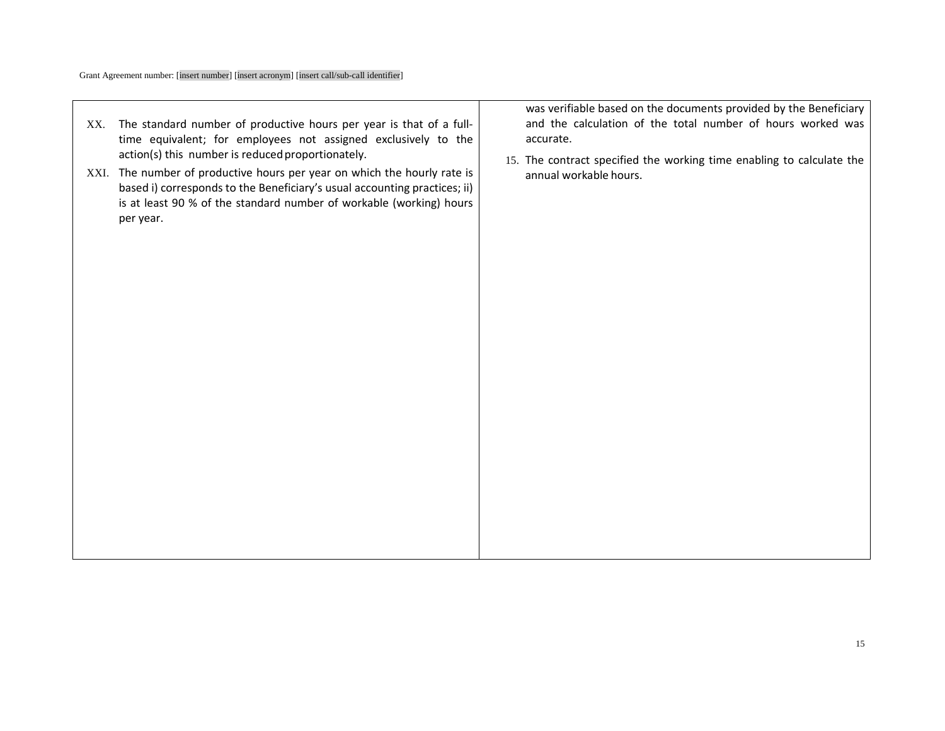Г

| XX. | The standard number of productive hours per year is that of a full-<br>time equivalent; for employees not assigned exclusively to the<br>action(s) this number is reduced proportionately.<br>XXI. The number of productive hours per year on which the hourly rate is<br>based i) corresponds to the Beneficiary's usual accounting practices; ii)<br>is at least 90 % of the standard number of workable (working) hours<br>per year. | was verifiable based on the documents provided by the Beneficiary<br>and the calculation of the total number of hours worked was<br>accurate.<br>15. The contract specified the working time enabling to calculate the<br>annual workable hours. |
|-----|-----------------------------------------------------------------------------------------------------------------------------------------------------------------------------------------------------------------------------------------------------------------------------------------------------------------------------------------------------------------------------------------------------------------------------------------|--------------------------------------------------------------------------------------------------------------------------------------------------------------------------------------------------------------------------------------------------|
|     |                                                                                                                                                                                                                                                                                                                                                                                                                                         |                                                                                                                                                                                                                                                  |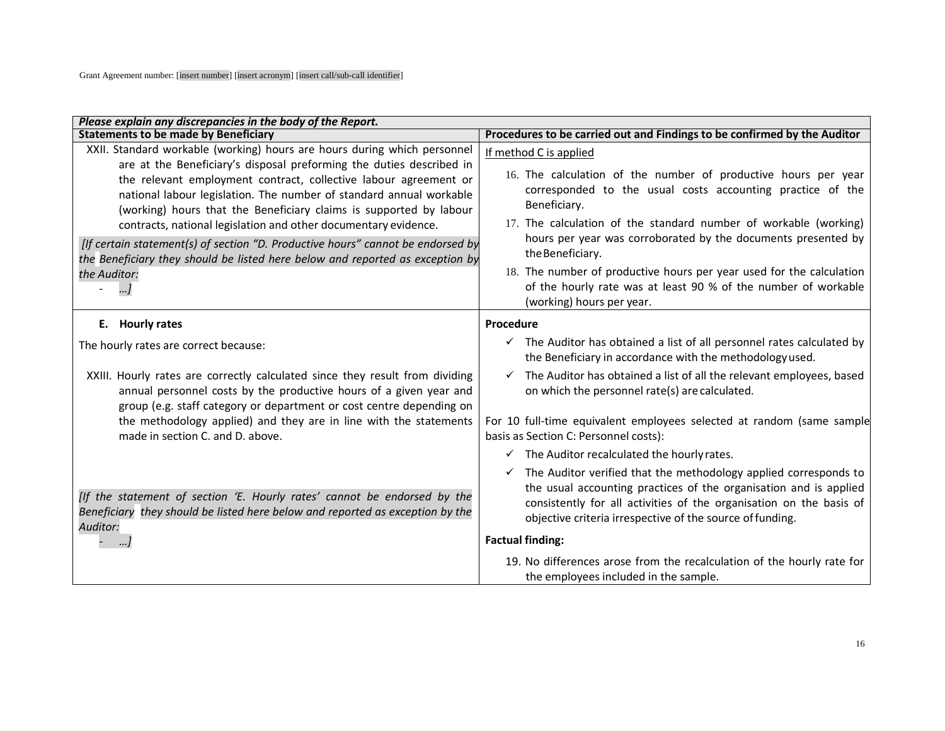| Please explain any discrepancies in the body of the Report.                                                                                                                                                                                                                                                                                                                                                                                                                                                                                                                                                                   |                                                                                                                                                                                                                                                                                                                                                                                                                                                                                                        |
|-------------------------------------------------------------------------------------------------------------------------------------------------------------------------------------------------------------------------------------------------------------------------------------------------------------------------------------------------------------------------------------------------------------------------------------------------------------------------------------------------------------------------------------------------------------------------------------------------------------------------------|--------------------------------------------------------------------------------------------------------------------------------------------------------------------------------------------------------------------------------------------------------------------------------------------------------------------------------------------------------------------------------------------------------------------------------------------------------------------------------------------------------|
| <b>Statements to be made by Beneficiary</b>                                                                                                                                                                                                                                                                                                                                                                                                                                                                                                                                                                                   | Procedures to be carried out and Findings to be confirmed by the Auditor                                                                                                                                                                                                                                                                                                                                                                                                                               |
| XXII. Standard workable (working) hours are hours during which personnel<br>are at the Beneficiary's disposal preforming the duties described in<br>the relevant employment contract, collective labour agreement or<br>national labour legislation. The number of standard annual workable<br>(working) hours that the Beneficiary claims is supported by labour<br>contracts, national legislation and other documentary evidence.<br>[If certain statement(s) of section "D. Productive hours" cannot be endorsed by<br>the Beneficiary they should be listed here below and reported as exception by<br>the Auditor:<br>] | If method C is applied<br>16. The calculation of the number of productive hours per year<br>corresponded to the usual costs accounting practice of the<br>Beneficiary.<br>17. The calculation of the standard number of workable (working)<br>hours per year was corroborated by the documents presented by<br>the Beneficiary.<br>18. The number of productive hours per year used for the calculation<br>of the hourly rate was at least 90 % of the number of workable<br>(working) hours per year. |
| E. Hourly rates                                                                                                                                                                                                                                                                                                                                                                                                                                                                                                                                                                                                               | Procedure                                                                                                                                                                                                                                                                                                                                                                                                                                                                                              |
| The hourly rates are correct because:<br>XXIII. Hourly rates are correctly calculated since they result from dividing<br>annual personnel costs by the productive hours of a given year and<br>group (e.g. staff category or department or cost centre depending on                                                                                                                                                                                                                                                                                                                                                           | $\checkmark$ The Auditor has obtained a list of all personnel rates calculated by<br>the Beneficiary in accordance with the methodology used.<br>$\checkmark$ The Auditor has obtained a list of all the relevant employees, based<br>on which the personnel rate(s) are calculated.                                                                                                                                                                                                                   |
| the methodology applied) and they are in line with the statements<br>made in section C. and D. above.                                                                                                                                                                                                                                                                                                                                                                                                                                                                                                                         | For 10 full-time equivalent employees selected at random (same sample<br>basis as Section C: Personnel costs):                                                                                                                                                                                                                                                                                                                                                                                         |
|                                                                                                                                                                                                                                                                                                                                                                                                                                                                                                                                                                                                                               | $\checkmark$ The Auditor recalculated the hourly rates.                                                                                                                                                                                                                                                                                                                                                                                                                                                |
| [If the statement of section 'E. Hourly rates' cannot be endorsed by the<br>Beneficiary they should be listed here below and reported as exception by the<br>Auditor:                                                                                                                                                                                                                                                                                                                                                                                                                                                         | $\checkmark$ The Auditor verified that the methodology applied corresponds to<br>the usual accounting practices of the organisation and is applied<br>consistently for all activities of the organisation on the basis of<br>objective criteria irrespective of the source of funding.<br><b>Factual finding:</b>                                                                                                                                                                                      |
|                                                                                                                                                                                                                                                                                                                                                                                                                                                                                                                                                                                                                               | 19. No differences arose from the recalculation of the hourly rate for<br>the employees included in the sample.                                                                                                                                                                                                                                                                                                                                                                                        |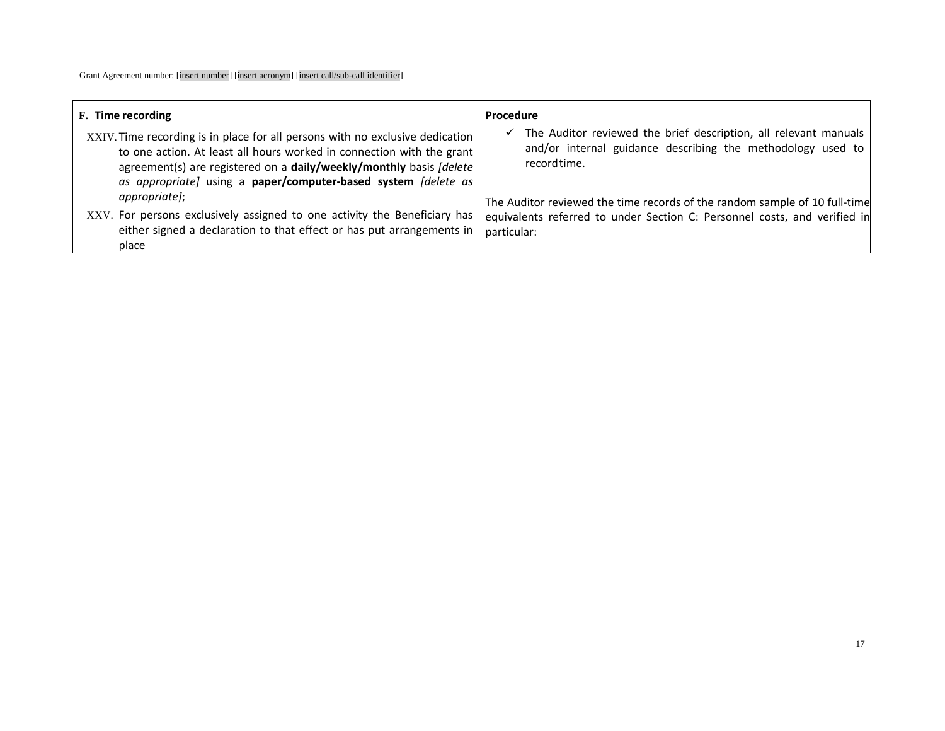| F. Time recording                                                                                                                                                                                                                                                                               | Procedure                                                                                                                                                              |
|-------------------------------------------------------------------------------------------------------------------------------------------------------------------------------------------------------------------------------------------------------------------------------------------------|------------------------------------------------------------------------------------------------------------------------------------------------------------------------|
| XXIV. Time recording is in place for all persons with no exclusive dedication<br>to one action. At least all hours worked in connection with the grant<br>agreement(s) are registered on a daily/weekly/monthly basis [delete<br>as appropriate) using a paper/computer-based system [delete as | The Auditor reviewed the brief description, all relevant manuals<br>$\checkmark$<br>and/or internal guidance describing the methodology used to<br>record time.        |
| appropriate];<br>XXV. For persons exclusively assigned to one activity the Beneficiary has<br>either signed a declaration to that effect or has put arrangements in<br>place                                                                                                                    | The Auditor reviewed the time records of the random sample of 10 full-time<br>equivalents referred to under Section C: Personnel costs, and verified in<br>particular: |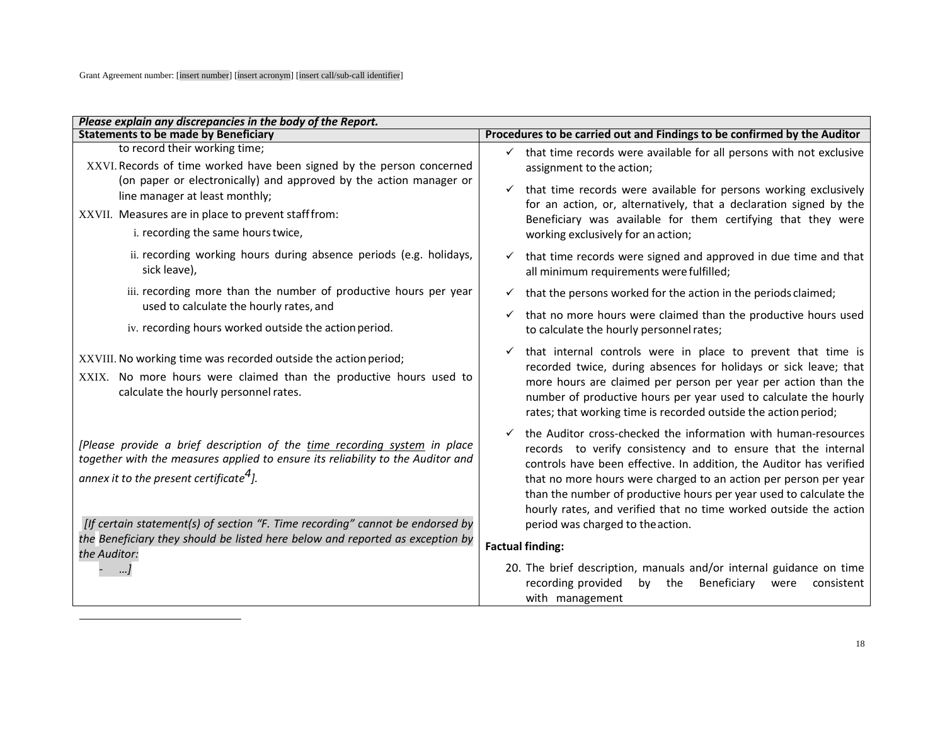| Please explain any discrepancies in the body of the Report.                                                                                                                                                         |                                                                                                                                                                                                                                                                                                                                                                                                                       |
|---------------------------------------------------------------------------------------------------------------------------------------------------------------------------------------------------------------------|-----------------------------------------------------------------------------------------------------------------------------------------------------------------------------------------------------------------------------------------------------------------------------------------------------------------------------------------------------------------------------------------------------------------------|
| <b>Statements to be made by Beneficiary</b>                                                                                                                                                                         | Procedures to be carried out and Findings to be confirmed by the Auditor                                                                                                                                                                                                                                                                                                                                              |
| to record their working time;<br>XXVI. Records of time worked have been signed by the person concerned<br>(on paper or electronically) and approved by the action manager or                                        | that time records were available for all persons with not exclusive<br>$\checkmark$<br>assignment to the action;<br>that time records were available for persons working exclusively<br>for an action, or, alternatively, that a declaration signed by the<br>Beneficiary was available for them certifying that they were                                                                                            |
| line manager at least monthly;<br>XXVII. Measures are in place to prevent staff from:                                                                                                                               |                                                                                                                                                                                                                                                                                                                                                                                                                       |
| i. recording the same hours twice,                                                                                                                                                                                  | working exclusively for an action;                                                                                                                                                                                                                                                                                                                                                                                    |
| ii. recording working hours during absence periods (e.g. holidays,<br>sick leave),                                                                                                                                  | that time records were signed and approved in due time and that<br>$\checkmark$<br>all minimum requirements were fulfilled;                                                                                                                                                                                                                                                                                           |
| iii. recording more than the number of productive hours per year<br>used to calculate the hourly rates, and                                                                                                         | that the persons worked for the action in the periods claimed;                                                                                                                                                                                                                                                                                                                                                        |
| iv. recording hours worked outside the action period.                                                                                                                                                               | that no more hours were claimed than the productive hours used<br>to calculate the hourly personnel rates;                                                                                                                                                                                                                                                                                                            |
| XXVIII. No working time was recorded outside the action period;<br>XXIX. No more hours were claimed than the productive hours used to<br>calculate the hourly personnel rates.                                      | that internal controls were in place to prevent that time is<br>recorded twice, during absences for holidays or sick leave; that<br>more hours are claimed per person per year per action than the<br>number of productive hours per year used to calculate the hourly<br>rates; that working time is recorded outside the action period;                                                                             |
| [Please provide a brief description of the time recording system in place<br>together with the measures applied to ensure its reliability to the Auditor and<br>annex it to the present certificate <sup>4</sup> ]. | the Auditor cross-checked the information with human-resources<br>records to verify consistency and to ensure that the internal<br>controls have been effective. In addition, the Auditor has verified<br>that no more hours were charged to an action per person per year<br>than the number of productive hours per year used to calculate the<br>hourly rates, and verified that no time worked outside the action |
| [If certain statement(s) of section "F. Time recording" cannot be endorsed by<br>the Beneficiary they should be listed here below and reported as exception by                                                      | period was charged to the action.<br><b>Factual finding:</b>                                                                                                                                                                                                                                                                                                                                                          |
| the Auditor:                                                                                                                                                                                                        |                                                                                                                                                                                                                                                                                                                                                                                                                       |
|                                                                                                                                                                                                                     | 20. The brief description, manuals and/or internal guidance on time<br>recording provided<br>Beneficiary<br>by the<br>consistent<br>were<br>with management                                                                                                                                                                                                                                                           |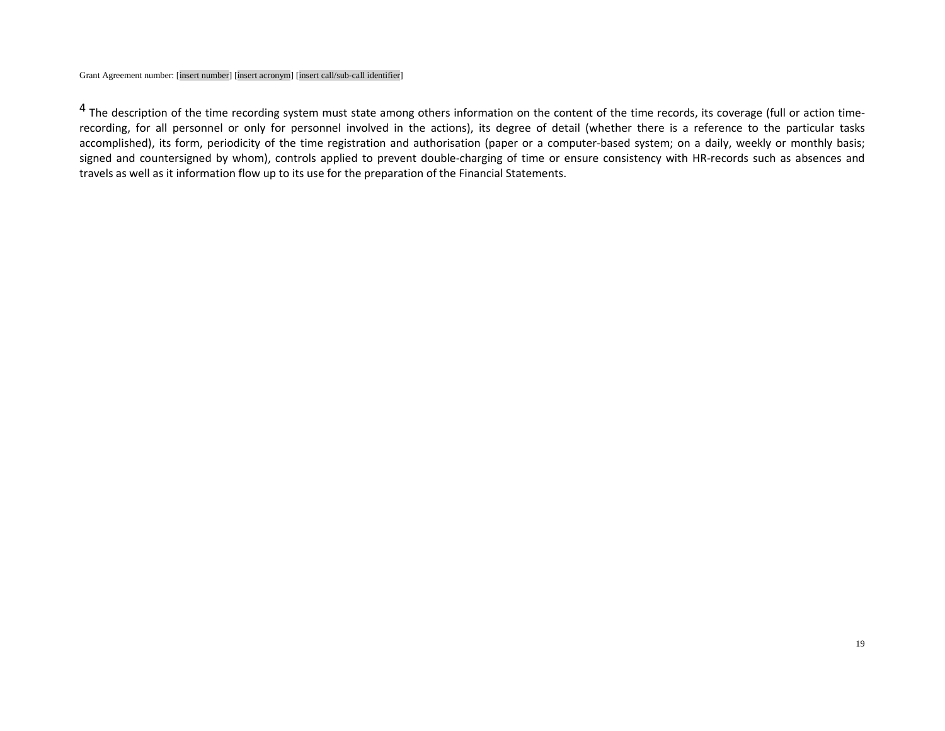<sup>4</sup> The description of the time recording system must state among others information on the content of the time records, its coverage (full or action timerecording, for all personnel or only for personnel involved in the actions), its degree of detail (whether there is a reference to the particular tasks accomplished), its form, periodicity of the time registration and authorisation (paper or a computer-based system; on a daily, weekly or monthly basis; signed and countersigned by whom), controls applied to prevent double-charging of time or ensure consistency with HR-records such as absences and travels as well as it information flow up to its use for the preparation of the Financial Statements.